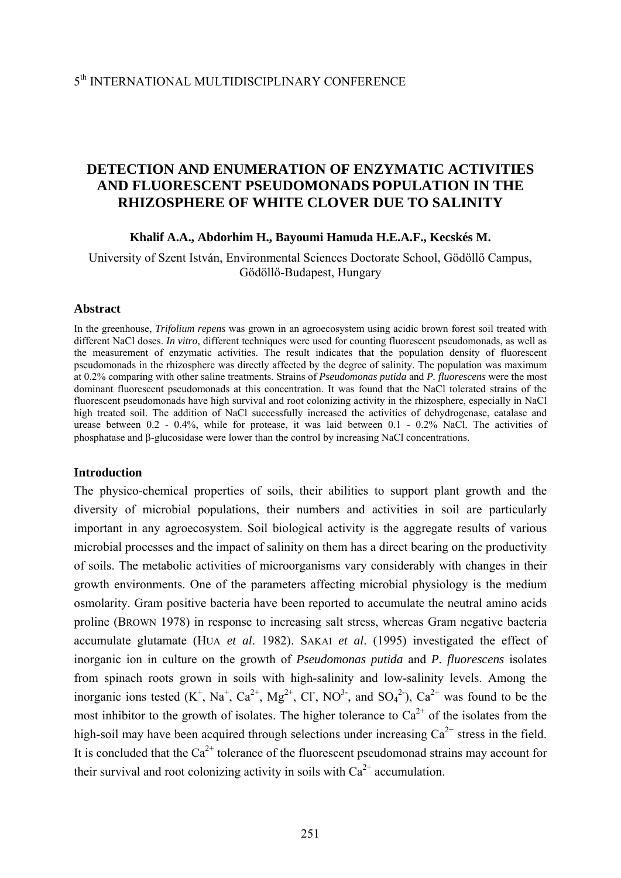# **DETECTION AND ENUMERATION OF ENZYMATIC ACTIVITIES AND FLUORESCENT PSEUDOMONADS POPULATION IN THE RHIZOSPHERE OF WHITE CLOVER DUE TO SALINITY**

#### **Khalif A.A., Abdorhim H., Bayoumi Hamuda H.E.A.F., Kecskés M.**

University of Szent István, Environmental Sciences Doctorate School, Gödöllő Campus, Gödöllő-Budapest, Hungary

#### **Abstract**

In the greenhouse, *Trifolium repens* was grown in an agroecosystem using acidic brown forest soil treated with different NaCl doses. *In vitro,* different techniques were used for counting fluorescent pseudomonads, as well as the measurement of enzymatic activities. The result indicates that the population density of fluorescent pseudomonads in the rhizosphere was directly affected by the degree of salinity. The population was maximum at 0.2% comparing with other saline treatments. Strains of *Pseudomonas putida* and *P. fluorescens* were the most dominant fluorescent pseudomonads at this concentration. It was found that the NaCl tolerated strains of the fluorescent pseudomonads have high survival and root colonizing activity in the rhizosphere, especially in NaCl high treated soil. The addition of NaCl successfully increased the activities of dehydrogenase, catalase and urease between 0.2 - 0.4%, while for protease, it was laid between 0.1 - 0.2% NaCl. The activities of phosphatase and β-glucosidase were lower than the control by increasing NaCl concentrations.

#### **Introduction**

The physico-chemical properties of soils, their abilities to support plant growth and the diversity of microbial populations, their numbers and activities in soil are particularly important in any agroecosystem. Soil biological activity is the aggregate results of various microbial processes and the impact of salinity on them has a direct bearing on the productivity of soils. The metabolic activities of microorganisms vary considerably with changes in their growth environments. One of the parameters affecting microbial physiology is the medium osmolarity. Gram positive bacteria have been reported to accumulate the neutral amino acids proline (BROWN 1978) in response to increasing salt stress, whereas Gram negative bacteria accumulate glutamate (HUA *et al*. 1982). SAKAI *et al*. (1995) investigated the effect of inorganic ion in culture on the growth of *Pseudomonas putida* and *P. fluorescens* isolates from spinach roots grown in soils with high-salinity and low-salinity levels. Among the inorganic ions tested  $(K^+$ , Na<sup>+</sup>, Ca<sup>2+</sup>, Mg<sup>2+</sup>, Cl<sup>-</sup>, NO<sup>3-</sup>, and SO<sub>4</sub><sup>2</sup>), Ca<sup>2+</sup> was found to be the most inhibitor to the growth of isolates. The higher tolerance to  $Ca^{2+}$  of the isolates from the high-soil may have been acquired through selections under increasing  $Ca^{2+}$  stress in the field. It is concluded that the  $Ca^{2+}$  tolerance of the fluorescent pseudomonad strains may account for their survival and root colonizing activity in soils with  $Ca^{2+}$  accumulation.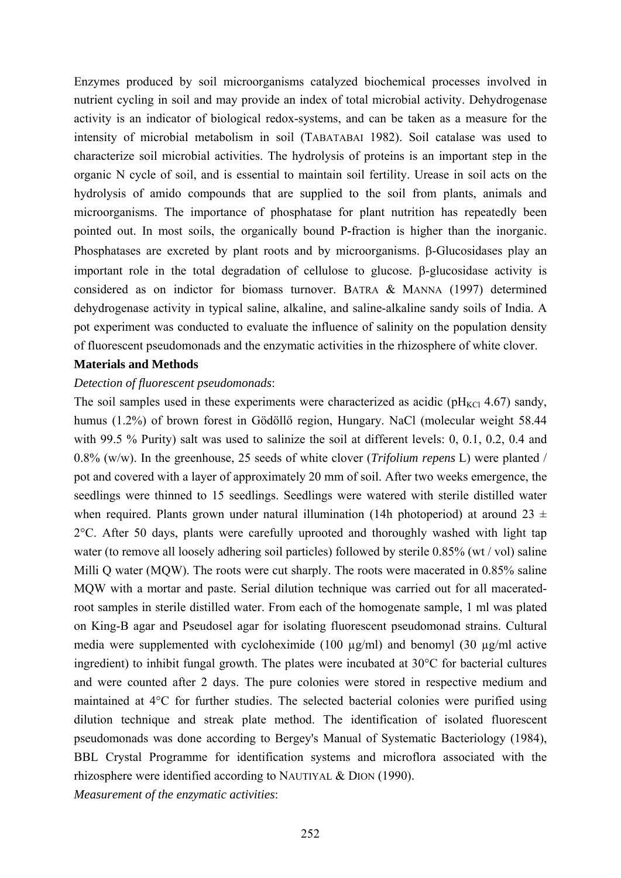Enzymes produced by soil microorganisms catalyzed biochemical processes involved in nutrient cycling in soil and may provide an index of total microbial activity. Dehydrogenase activity is an indicator of biological redox-systems, and can be taken as a measure for the intensity of microbial metabolism in soil (TABATABAI 1982). Soil catalase was used to characterize soil microbial activities. The hydrolysis of proteins is an important step in the organic N cycle of soil, and is essential to maintain soil fertility. Urease in soil acts on the hydrolysis of amido compounds that are supplied to the soil from plants, animals and microorganisms. The importance of phosphatase for plant nutrition has repeatedly been pointed out. In most soils, the organically bound P**-**fraction is higher than the inorganic. Phosphatases are excreted by plant roots and by microorganisms. β-Glucosidases play an important role in the total degradation of cellulose to glucose. β-glucosidase activity is considered as on indictor for biomass turnover. BATRA & MANNA (1997) determined dehydrogenase activity in typical saline, alkaline, and saline-alkaline sandy soils of India. A pot experiment was conducted to evaluate the influence of salinity on the population density of fluorescent pseudomonads and the enzymatic activities in the rhizosphere of white clover.

#### **Materials and Methods**

#### *Detection of fluorescent pseudomonads*:

The soil samples used in these experiments were characterized as acidic ( $pH_{\text{KCl}}$  4.67) sandy, humus (1.2%) of brown forest in Gödöllő region, Hungary. NaCl (molecular weight 58.44 with 99.5 % Purity) salt was used to salinize the soil at different levels: 0, 0.1, 0.2, 0.4 and 0.8% (w/w). In the greenhouse, 25 seeds of white clover (*Trifolium repens* L) were planted / pot and covered with a layer of approximately 20 mm of soil. After two weeks emergence, the seedlings were thinned to 15 seedlings. Seedlings were watered with sterile distilled water when required. Plants grown under natural illumination (14h photoperiod) at around 23  $\pm$ 2°C. After 50 days, plants were carefully uprooted and thoroughly washed with light tap water (to remove all loosely adhering soil particles) followed by sterile 0.85% (wt / vol) saline Milli Q water (MQW). The roots were cut sharply. The roots were macerated in 0.85% saline MQW with a mortar and paste. Serial dilution technique was carried out for all maceratedroot samples in sterile distilled water. From each of the homogenate sample, 1 ml was plated on King-B agar and Pseudosel agar for isolating fluorescent pseudomonad strains. Cultural media were supplemented with cycloheximide (100 µg/ml) and benomyl (30 µg/ml active ingredient) to inhibit fungal growth. The plates were incubated at 30°C for bacterial cultures and were counted after 2 days. The pure colonies were stored in respective medium and maintained at 4°C for further studies. The selected bacterial colonies were purified using dilution technique and streak plate method. The identification of isolated fluorescent pseudomonads was done according to Bergey's Manual of Systematic Bacteriology (1984), BBL Crystal Programme for identification systems and microflora associated with the rhizosphere were identified according to NAUTIYAL & DION (1990).

*Measurement of the enzymatic activities*: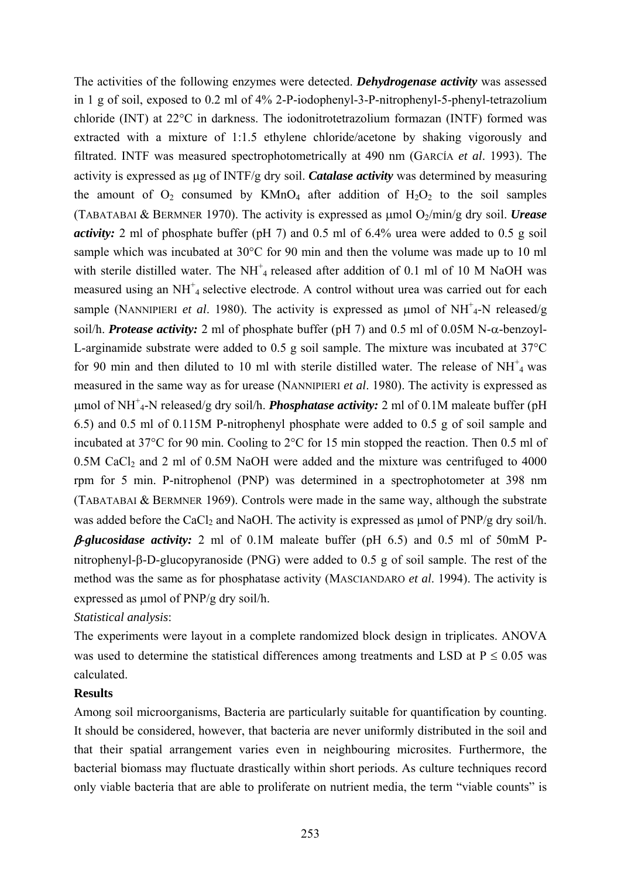The activities of the following enzymes were detected. *Dehydrogenase activity* was assessed in 1 g of soil, exposed to 0.2 ml of 4% 2-P-iodophenyl-3-P-nitrophenyl-5-phenyl-tetrazolium chloride (INT) at 22°C in darkness. The iodonitrotetrazolium formazan (INTF) formed was extracted with a mixture of 1:1.5 ethylene chloride/acetone by shaking vigorously and filtrated. INTF was measured spectrophotometrically at 490 nm (GARCÍA *et al*. 1993). The activity is expressed as μg of INTF/g dry soil. *Catalase activity* was determined by measuring the amount of  $O_2$  consumed by KMn $O_4$  after addition of  $H_2O_2$  to the soil samples (TABATABAI & BERMNER 1970). The activity is expressed as μmol O2/min/g dry soil. *Urease activity:* 2 ml of phosphate buffer (pH 7) and 0.5 ml of 6.4% urea were added to 0.5 g soil sample which was incubated at 30°C for 90 min and then the volume was made up to 10 ml with sterile distilled water. The NH<sup>+</sup><sub>4</sub> released after addition of 0.1 ml of 10 M NaOH was measured using an NH<sup>+</sup><sub>4</sub> selective electrode. A control without urea was carried out for each sample (NANNIPIERI *et al.* 1980). The activity is expressed as  $\mu$ mol of NH<sup>+</sup><sub>4</sub>-N released/g soil/h. *Protease activity:* 2 ml of phosphate buffer (pH 7) and 0.5 ml of 0.05M N-α-benzoyl-L-arginamide substrate were added to 0.5 g soil sample. The mixture was incubated at 37°C for 90 min and then diluted to 10 ml with sterile distilled water. The release of  $NH<sup>+</sup><sub>4</sub>$  was measured in the same way as for urease (NANNIPIERI *et al*. 1980). The activity is expressed as μmol of NH<sup>+</sup> 4-N released/g dry soil/h. *Phosphatase activity:* 2 ml of 0.1M maleate buffer (pH 6.5) and 0.5 ml of 0.115M P-nitrophenyl phosphate were added to 0.5 g of soil sample and incubated at 37°C for 90 min. Cooling to 2°C for 15 min stopped the reaction. Then 0.5 ml of  $0.5M$  CaCl<sub>2</sub> and 2 ml of  $0.5M$  NaOH were added and the mixture was centrifuged to  $4000$ rpm for 5 min. P-nitrophenol (PNP) was determined in a spectrophotometer at 398 nm (TABATABAI & BERMNER 1969). Controls were made in the same way, although the substrate was added before the CaCl<sub>2</sub> and NaOH. The activity is expressed as μmol of PNP/g dry soil/h.

β*-glucosidase activity:* 2 ml of 0.1M maleate buffer (pH 6.5) and 0.5 ml of 50mM Pnitrophenyl-β-D-glucopyranoside (PNG) were added to 0.5 g of soil sample. The rest of the method was the same as for phosphatase activity (MASCIANDARO *et al*. 1994). The activity is expressed as μmol of PNP/g dry soil/h.

## *Statistical analysis*:

The experiments were layout in a complete randomized block design in triplicates. ANOVA was used to determine the statistical differences among treatments and LSD at  $P \le 0.05$  was calculated.

### **Results**

Among soil microorganisms, Bacteria are particularly suitable for quantification by counting. It should be considered, however, that bacteria are never uniformly distributed in the soil and that their spatial arrangement varies even in neighbouring microsites. Furthermore, the bacterial biomass may fluctuate drastically within short periods. As culture techniques record only viable bacteria that are able to proliferate on nutrient media, the term "viable counts" is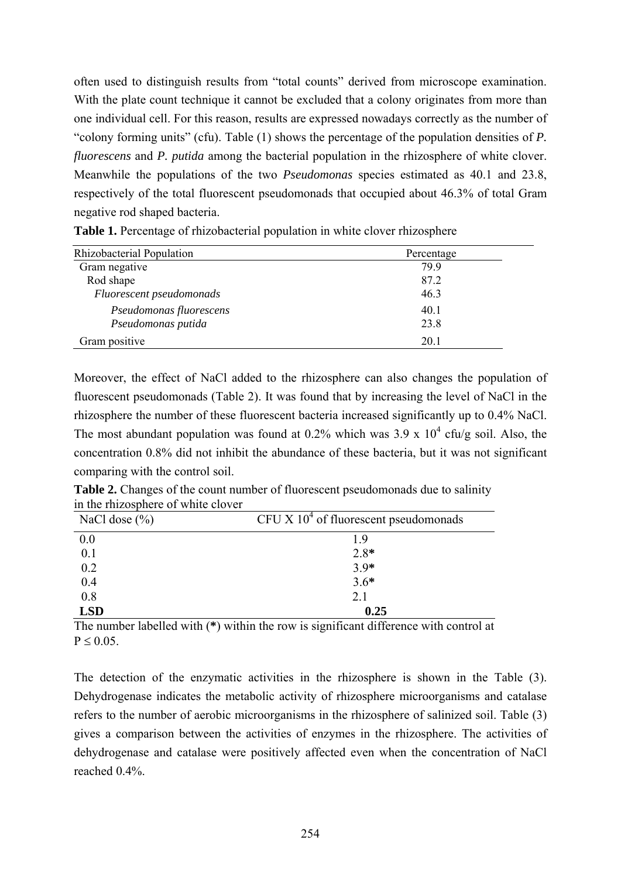often used to distinguish results from "total counts" derived from microscope examination. With the plate count technique it cannot be excluded that a colony originates from more than one individual cell. For this reason, results are expressed nowadays correctly as the number of "colony forming units" (cfu). Table (1) shows the percentage of the population densities of *P. fluorescens* and *P. putida* among the bacterial population in the rhizosphere of white clover. Meanwhile the populations of the two *Pseudomonas* species estimated as 40.1 and 23.8, respectively of the total fluorescent pseudomonads that occupied about 46.3% of total Gram negative rod shaped bacteria.

| Rhizobacterial Population | Percentage |
|---------------------------|------------|
| Gram negative             | 799        |
| Rod shape                 | 87.2       |
| Fluorescent pseudomonads  | 46.3       |
| Pseudomonas fluorescens   | 40.1       |
| Pseudomonas putida        | 23.8       |
| Gram positive             | 20.1       |

**Table 1.** Percentage of rhizobacterial population in white clover rhizosphere

Moreover, the effect of NaCl added to the rhizosphere can also changes the population of fluorescent pseudomonads (Table 2). It was found that by increasing the level of NaCl in the rhizosphere the number of these fluorescent bacteria increased significantly up to 0.4% NaCl. The most abundant population was found at 0.2% which was 3.9 x  $10^4$  cfu/g soil. Also, the concentration 0.8% did not inhibit the abundance of these bacteria, but it was not significant comparing with the control soil.

**Table 2.** Changes of the count number of fluorescent pseudomonads due to salinity in the rhizosphere of white clover

| NaCl dose $(\% )$ | CFU X $104$ of fluorescent pseudomonads |
|-------------------|-----------------------------------------|
| 0.0               | 19                                      |
| 0.1               | $2.8*$                                  |
| 0.2               | $3.9*$                                  |
| 0.4               | $3.6*$                                  |
| 0.8               | 2.1                                     |
| <b>LSD</b>        | 0.25                                    |

The number labelled with (**\***) within the row is significant difference with control at  $P \leq 0.05$ .

The detection of the enzymatic activities in the rhizosphere is shown in the Table (3). Dehydrogenase indicates the metabolic activity of rhizosphere microorganisms and catalase refers to the number of aerobic microorganisms in the rhizosphere of salinized soil. Table (3) gives a comparison between the activities of enzymes in the rhizosphere. The activities of dehydrogenase and catalase were positively affected even when the concentration of NaCl reached 0.4%.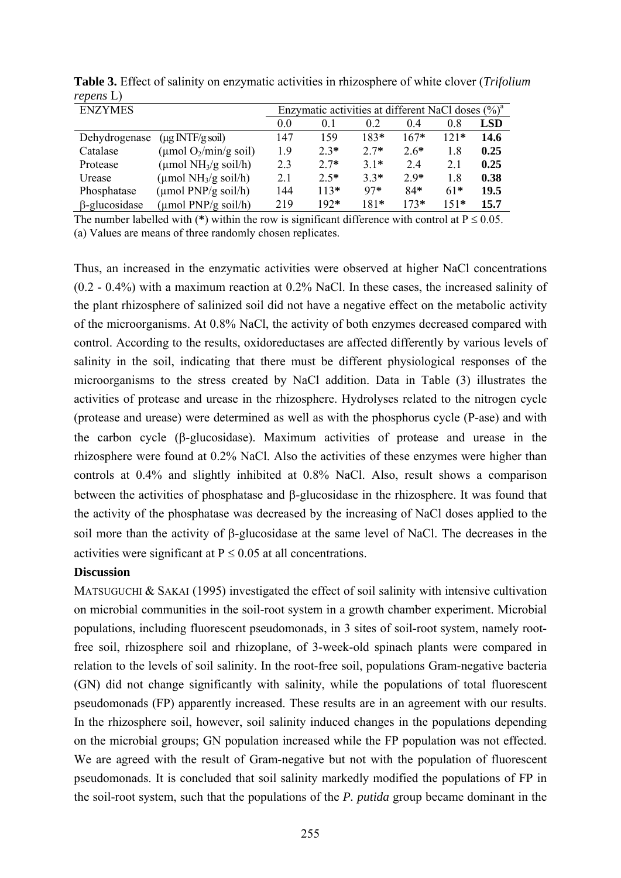| <b>ENZYMES</b>       |                                           |     | Enzymatic activities at different NaCl doses $(\%)^a$ |        |        |        |            |
|----------------------|-------------------------------------------|-----|-------------------------------------------------------|--------|--------|--------|------------|
|                      |                                           | 0.0 | 0.1                                                   | 0.2    | 0.4    | 0.8    | <b>LSD</b> |
| Dehydrogenase        | $(\mu g \text{ INTF/g soil})$             | 147 | 159                                                   | $183*$ | $167*$ | 121*   | 14.6       |
| Catalase             | (µmol $O_2$ /min/g soil)                  | 19  | $2.3*$                                                | $2.7*$ | $2.6*$ | 1.8    | 0.25       |
| Protease             | (µmol $NH3/g$ soil/h)                     | 2.3 | $2.7*$                                                | $31*$  | 24     | 2.1    | 0.25       |
| Urease               | $(\mu \text{mol } NH_3/g \text{ soil/h})$ | 2.1 | $2.5*$                                                | $3.3*$ | $2.9*$ | 1.8    | 0.38       |
| Phosphatase          | $(\mu \text{mol } PNP/g \text{ soil/h})$  | 144 | $113*$                                                | $97*$  | $84*$  | $61*$  | 19.5       |
| $\beta$ -glucosidase | $(\mu \text{mol PNP/g soil/h})$           | 219 | $192*$                                                | $181*$ | $173*$ | $151*$ | 15.7       |

**Table 3.** Effect of salinity on enzymatic activities in rhizosphere of white clover (*Trifolium repens* L)

The number labelled with (\*) within the row is significant difference with control at  $P \le 0.05$ . (a) Values are means of three randomly chosen replicates.

Thus, an increased in the enzymatic activities were observed at higher NaCl concentrations (0.2 - 0.4%) with a maximum reaction at 0.2% NaCl. In these cases, the increased salinity of the plant rhizosphere of salinized soil did not have a negative effect on the metabolic activity of the microorganisms. At 0.8% NaCl, the activity of both enzymes decreased compared with control. According to the results, oxidoreductases are affected differently by various levels of salinity in the soil, indicating that there must be different physiological responses of the microorganisms to the stress created by NaCl addition. Data in Table (3) illustrates the activities of protease and urease in the rhizosphere. Hydrolyses related to the nitrogen cycle (protease and urease) were determined as well as with the phosphorus cycle (P-ase) and with the carbon cycle (β-glucosidase). Maximum activities of protease and urease in the rhizosphere were found at 0.2% NaCl. Also the activities of these enzymes were higher than controls at 0.4% and slightly inhibited at 0.8% NaCl. Also, result shows a comparison between the activities of phosphatase and β-glucosidase in the rhizosphere. It was found that the activity of the phosphatase was decreased by the increasing of NaCl doses applied to the soil more than the activity of β-glucosidase at the same level of NaCl. The decreases in the activities were significant at  $P \le 0.05$  at all concentrations.

#### **Discussion**

MATSUGUCHI & SAKAI (1995) investigated the effect of soil salinity with intensive cultivation on microbial communities in the soil-root system in a growth chamber experiment. Microbial populations, including fluorescent pseudomonads, in 3 sites of soil-root system, namely rootfree soil, rhizosphere soil and rhizoplane, of 3-week-old spinach plants were compared in relation to the levels of soil salinity. In the root-free soil, populations Gram-negative bacteria (GN) did not change significantly with salinity, while the populations of total fluorescent pseudomonads (FP) apparently increased. These results are in an agreement with our results. In the rhizosphere soil, however, soil salinity induced changes in the populations depending on the microbial groups; GN population increased while the FP population was not effected. We are agreed with the result of Gram-negative but not with the population of fluorescent pseudomonads. It is concluded that soil salinity markedly modified the populations of FP in the soil-root system, such that the populations of the *P. putida* group became dominant in the